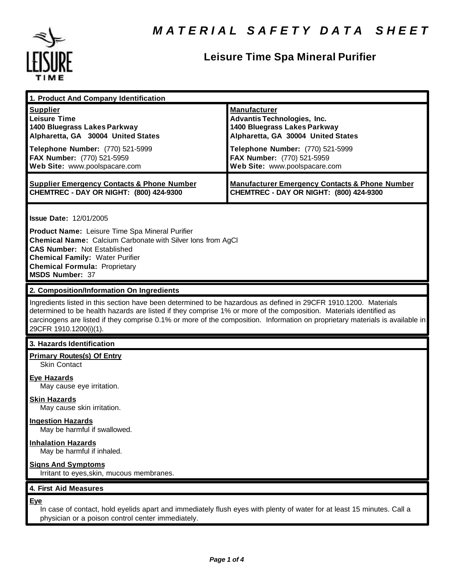

# **Leisure Time Spa Mineral Purifier**

| 1. Product And Company Identification                                                                                                                                                                                                                                                                                                                                                             |                                                                                                                                                                                                                                    |
|---------------------------------------------------------------------------------------------------------------------------------------------------------------------------------------------------------------------------------------------------------------------------------------------------------------------------------------------------------------------------------------------------|------------------------------------------------------------------------------------------------------------------------------------------------------------------------------------------------------------------------------------|
| <b>Supplier</b><br><b>Leisure Time</b><br>1400 Bluegrass Lakes Parkway<br>Alpharetta, GA 30004 United States<br>Telephone Number: (770) 521-5999<br>FAX Number: (770) 521-5959<br>Web Site: www.poolspacare.com                                                                                                                                                                                   | <b>Manufacturer</b><br><b>Advantis Technologies, Inc.</b><br>1400 Bluegrass Lakes Parkway<br>Alpharetta, GA 30004 United States<br>Telephone Number: (770) 521-5999<br>FAX Number: (770) 521-5959<br>Web Site: www.poolspacare.com |
| <b>Supplier Emergency Contacts &amp; Phone Number</b><br>CHEMTREC - DAY OR NIGHT: (800) 424-9300                                                                                                                                                                                                                                                                                                  | <b>Manufacturer Emergency Contacts &amp; Phone Number</b><br>CHEMTREC - DAY OR NIGHT: (800) 424-9300                                                                                                                               |
| <b>Issue Date: 12/01/2005</b><br>Product Name: Leisure Time Spa Mineral Purifier<br><b>Chemical Name:</b> Calcium Carbonate with Silver lons from AgCI<br><b>CAS Number: Not Established</b><br><b>Chemical Family: Water Purifier</b><br><b>Chemical Formula: Proprietary</b><br><b>MSDS Number: 37</b>                                                                                          |                                                                                                                                                                                                                                    |
| 2. Composition/Information On Ingredients                                                                                                                                                                                                                                                                                                                                                         |                                                                                                                                                                                                                                    |
| Ingredients listed in this section have been determined to be hazardous as defined in 29CFR 1910.1200. Materials<br>determined to be health hazards are listed if they comprise 1% or more of the composition. Materials identified as<br>carcinogens are listed if they comprise 0.1% or more of the composition. Information on proprietary materials is available in<br>29CFR 1910.1200(i)(1). |                                                                                                                                                                                                                                    |
| 3. Hazards Identification                                                                                                                                                                                                                                                                                                                                                                         |                                                                                                                                                                                                                                    |
| <b>Primary Routes(s) Of Entry</b><br><b>Skin Contact</b>                                                                                                                                                                                                                                                                                                                                          |                                                                                                                                                                                                                                    |
| <b>Eye Hazards</b><br>May cause eye irritation.                                                                                                                                                                                                                                                                                                                                                   |                                                                                                                                                                                                                                    |
| <b>Skin Hazards</b><br>May cause skin irritation.                                                                                                                                                                                                                                                                                                                                                 |                                                                                                                                                                                                                                    |
| <b>Ingestion Hazards</b><br>May be harmful if swallowed.                                                                                                                                                                                                                                                                                                                                          |                                                                                                                                                                                                                                    |
| <b>Inhalation Hazards</b><br>May be harmful if inhaled.                                                                                                                                                                                                                                                                                                                                           |                                                                                                                                                                                                                                    |
| <b>Signs And Symptoms</b><br>Irritant to eyes, skin, mucous membranes.                                                                                                                                                                                                                                                                                                                            |                                                                                                                                                                                                                                    |
| 4. First Aid Measures                                                                                                                                                                                                                                                                                                                                                                             |                                                                                                                                                                                                                                    |
| <b>Eye</b><br>In case of contact, hold eyelids apart and immediately flush eyes with plenty of water for at least 15 minutes. Call a<br>physician or a poison control center immediately.                                                                                                                                                                                                         |                                                                                                                                                                                                                                    |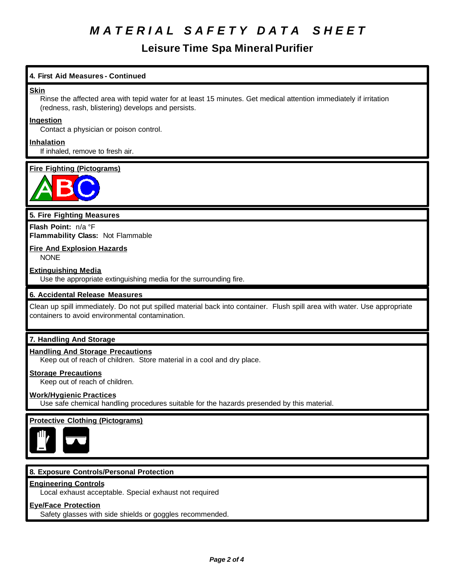# *M A T E R I A L S A F E T Y D A T A S H E E T*

# **Leisure Time Spa Mineral Purifier**

### **4. First Aid Measures - Continued**

#### **Skin**

Rinse the affected area with tepid water for at least 15 minutes. Get medical attention immediately if irritation (redness, rash, blistering) develops and persists.

#### **Ingestion**

Contact a physician or poison control.

# **Inhalation**

If inhaled, remove to fresh air.

# **Fire Fighting (Pictograms)**



### **5. Fire Fighting Measures**

**Flash Point:** n/a °F **Flammability Class:** Not Flammable

## **Fire And Explosion Hazards**

NONE

#### **Extinguishing Media**

Use the appropriate extinguishing media for the surrounding fire.

### **6. Accidental Release Measures**

Clean up spill immediately. Do not put spilled material back into container. Flush spill area with water. Use appropriate containers to avoid environmental contamination.

# **7. Handling And Storage**

### **Handling And Storage Precautions**

Keep out of reach of children. Store material in a cool and dry place.

#### **Storage Precautions**

Keep out of reach of children.

### **Work/Hygienic Practices**

Use safe chemical handling procedures suitable for the hazards presended by this material.

### **Protective Clothing (Pictograms)**



### **8. Exposure Controls/Personal Protection**

#### **Engineering Controls**

Local exhaust acceptable. Special exhaust not required

# **Eye/Face Protection**

Safety glasses with side shields or goggles recommended.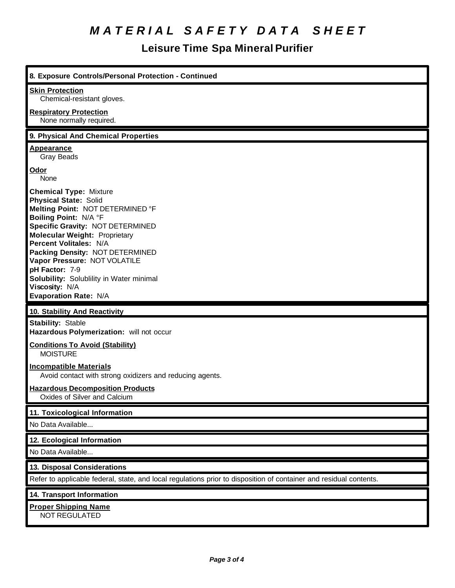# *M A T E R I A L S A F E T Y D A T A S H E E T*

# **Leisure Time Spa Mineral Purifier**

| 8. Exposure Controls/Personal Protection - Continued                                                                                                                                                                                                                                                                                                                                                                |
|---------------------------------------------------------------------------------------------------------------------------------------------------------------------------------------------------------------------------------------------------------------------------------------------------------------------------------------------------------------------------------------------------------------------|
| <b>Skin Protection</b><br>Chemical-resistant gloves.                                                                                                                                                                                                                                                                                                                                                                |
| <b>Respiratory Protection</b><br>None normally required.                                                                                                                                                                                                                                                                                                                                                            |
| 9. Physical And Chemical Properties                                                                                                                                                                                                                                                                                                                                                                                 |
| <b>Appearance</b><br><b>Gray Beads</b>                                                                                                                                                                                                                                                                                                                                                                              |
| Odor<br>None                                                                                                                                                                                                                                                                                                                                                                                                        |
| <b>Chemical Type: Mixture</b><br><b>Physical State: Solid</b><br>Melting Point: NOT DETERMINED °F<br>Boiling Point: N/A °F<br><b>Specific Gravity: NOT DETERMINED</b><br><b>Molecular Weight: Proprietary</b><br>Percent Volitales: N/A<br>Packing Density: NOT DETERMINED<br>Vapor Pressure: NOT VOLATILE<br>pH Factor: 7-9<br>Solubility: Solublility in Water minimal<br>Viscosity: N/A<br>Evaporation Rate: N/A |
| 10. Stability And Reactivity                                                                                                                                                                                                                                                                                                                                                                                        |
| <b>Stability: Stable</b><br>Hazardous Polymerization: will not occur                                                                                                                                                                                                                                                                                                                                                |
| <b>Conditions To Avoid (Stability)</b><br><b>MOISTURE</b>                                                                                                                                                                                                                                                                                                                                                           |
| <b>Incompatible Materials</b><br>Avoid contact with strong oxidizers and reducing agents.                                                                                                                                                                                                                                                                                                                           |
| <b>Hazardous Decomposition Products</b><br>Oxides of Silver and Calcium                                                                                                                                                                                                                                                                                                                                             |
| 11. Toxicological Information                                                                                                                                                                                                                                                                                                                                                                                       |
| No Data Available                                                                                                                                                                                                                                                                                                                                                                                                   |
| 12. Ecological Information                                                                                                                                                                                                                                                                                                                                                                                          |
| No Data Available                                                                                                                                                                                                                                                                                                                                                                                                   |
| 13. Disposal Considerations                                                                                                                                                                                                                                                                                                                                                                                         |
| Refer to applicable federal, state, and local regulations prior to disposition of container and residual contents.                                                                                                                                                                                                                                                                                                  |
| 14. Transport Information                                                                                                                                                                                                                                                                                                                                                                                           |
| <b>Proper Shipping Name</b><br>NOT REGULATED                                                                                                                                                                                                                                                                                                                                                                        |